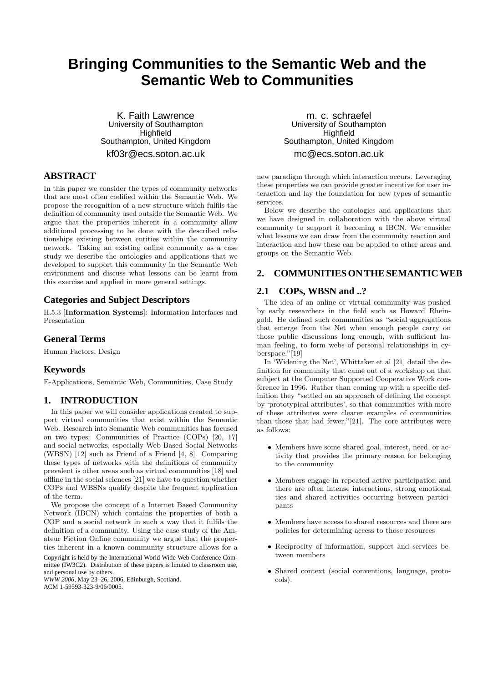# **Bringing Communities to the Semantic Web and the Semantic Web to Communities**

K. Faith Lawrence University of Southampton **Highfield** Southampton, United Kingdom kf03r@ecs.soton.ac.uk

## **ABSTRACT**

In this paper we consider the types of community networks that are most often codified within the Semantic Web. We propose the recognition of a new structure which fulfils the definition of community used outside the Semantic Web. We argue that the properties inherent in a community allow additional processing to be done with the described relationships existing between entities within the community network. Taking an existing online community as a case study we describe the ontologies and applications that we developed to support this community in the Semantic Web environment and discuss what lessons can be learnt from this exercise and applied in more general settings.

## **Categories and Subject Descriptors**

H.5.3 [Information Systems]: Information Interfaces and Presentation

## **General Terms**

Human Factors, Design

#### **Keywords**

E-Applications, Semantic Web, Communities, Case Study

#### **1. INTRODUCTION**

In this paper we will consider applications created to support virtual communities that exist within the Semantic Web. Research into Semantic Web communities has focused on two types: Communities of Practice (COPs) [20, 17] and social networks, especially Web Based Social Networks (WBSN) [12] such as Friend of a Friend [4, 8]. Comparing these types of networks with the definitions of community prevalent is other areas such as virtual communities [18] and offline in the social sciences [21] we have to question whether COPs and WBSNs qualify despite the frequent application of the term.

We propose the concept of a Internet Based Community Network (IBCN) which contains the properties of both a COP and a social network in such a way that it fulfils the definition of a community. Using the case study of the Amateur Fiction Online community we argue that the properties inherent in a known community structure allows for a

Copyright is held by the International World Wide Web Conference Committee (IW3C2). Distribution of these papers is limited to classroom use, and personal use by others.

*WWW 2006*, May 23–26, 2006, Edinburgh, Scotland. ACM 1-59593-323-9/06/0005.

m. c. schraefel University of Southampton **Highfield** Southampton, United Kingdom mc@ecs.soton.ac.uk

new paradigm through which interaction occurs. Leveraging these properties we can provide greater incentive for user interaction and lay the foundation for new types of semantic services.

Below we describe the ontologies and applications that we have designed in collaboration with the above virtual community to support it becoming a IBCN. We consider what lessons we can draw from the community reaction and interaction and how these can be applied to other areas and groups on the Semantic Web.

## **2. COMMUNITIES ON THE SEMANTIC WEB**

## **2.1 COPs, WBSN and ..?**

The idea of an online or virtual community was pushed by early researchers in the field such as Howard Rheingold. He defined such communities as "social aggregations that emerge from the Net when enough people carry on those public discussions long enough, with sufficient human feeling, to form webs of personal relationships in cyberspace."[19]

In 'Widening the Net', Whittaker et al [21] detail the definition for community that came out of a workshop on that subject at the Computer Supported Cooperative Work conference in 1996. Rather than coming up with a specific definition they "settled on an approach of defining the concept by 'prototypical attributes', so that communities with more of these attributes were clearer examples of communities than those that had fewer."[21]. The core attributes were as follows:

- Members have some shared goal, interest, need, or activity that provides the primary reason for belonging to the community
- Members engage in repeated active participation and there are often intense interactions, strong emotional ties and shared activities occurring between participants
- Members have access to shared resources and there are policies for determining access to those resources
- Reciprocity of information, support and services between members
- Shared context (social conventions, language, protocols).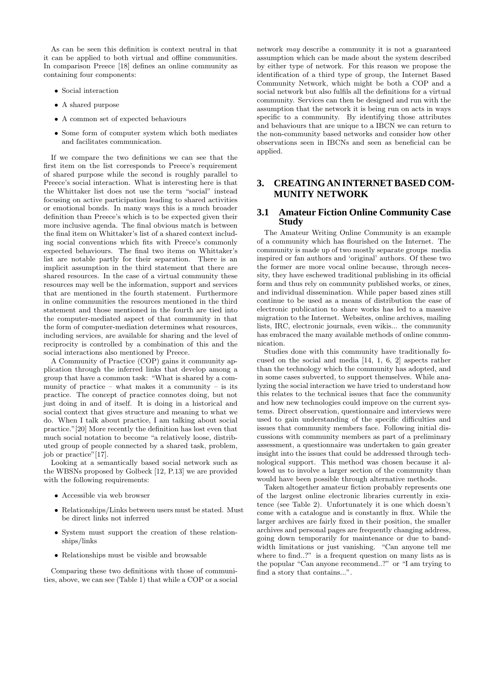As can be seen this definition is context neutral in that it can be applied to both virtual and offline communities. In comparison Preece [18] defines an online community as containing four components:

- Social interaction
- A shared purpose
- A common set of expected behaviours
- Some form of computer system which both mediates and facilitates communication.

If we compare the two definitions we can see that the first item on the list corresponds to Preece's requirement of shared purpose while the second is roughly parallel to Preece's social interaction. What is interesting here is that the Whittaker list does not use the term "social" instead focusing on active participation leading to shared activities or emotional bonds. In many ways this is a much broader definition than Preece's which is to be expected given their more inclusive agenda. The final obvious match is between the final item on Whittaker's list of a shared context including social conventions which fits with Preece's commonly expected behaviours. The final two items on Whittaker's list are notable partly for their separation. There is an implicit assumption in the third statement that there are shared resources. In the case of a virtual community these resources may well be the information, support and services that are mentioned in the fourth statement. Furthermore in online communities the resources mentioned in the third statement and those mentioned in the fourth are tied into the computer-mediated aspect of that community in that the form of computer-mediation determines what resources, including services, are available for sharing and the level of reciprocity is controlled by a combination of this and the social interactions also mentioned by Preece.

A Community of Practice (COP) gains it community application through the inferred links that develop among a group that have a common task: "What is shared by a community of practice – what makes it a community – is its practice. The concept of practice connotes doing, but not just doing in and of itself. It is doing in a historical and social context that gives structure and meaning to what we do. When I talk about practice, I am talking about social practice."[20] More recently the definition has lost even that much social notation to become "a relatively loose, distributed group of people connected by a shared task, problem, job or practice"[17].

Looking at a semantically based social network such as the WBSNs proposed by Golbeck [12, P.13] we are provided with the following requirements:

- Accessible via web browser
- Relationships/Links between users must be stated. Must be direct links not inferred
- System must support the creation of these relationships/links
- Relationships must be visible and browsable

Comparing these two definitions with those of communities, above, we can see (Table 1) that while a COP or a social

network may describe a community it is not a guaranteed assumption which can be made about the system described by either type of network. For this reason we propose the identification of a third type of group, the Internet Based Community Network, which might be both a COP and a social network but also fulfils all the definitions for a virtual community. Services can then be designed and run with the assumption that the network it is being run on acts in ways specific to a community. By identifying those attributes and behaviours that are unique to a IBCN we can return to the non-community based networks and consider how other observations seen in IBCNs and seen as beneficial can be applied.

# **3. CREATING AN INTERNET BASED COM-MUNITY NETWORK**

## **3.1 Amateur Fiction Online Community Case Study**

The Amateur Writing Online Community is an example of a community which has flourished on the Internet. The community is made up of two mostly separate groups media inspired or fan authors and 'original' authors. Of these two the former are more vocal online because, through necessity, they have eschewed traditional publishing in its official form and thus rely on community published works, or zines, and individual dissemination. While paper based zines still continue to be used as a means of distribution the ease of electronic publication to share works has led to a massive migration to the Internet. Websites, online archives, mailing lists, IRC, electronic journals, even wikis... the community has embraced the many available methods of online communication.

Studies done with this community have traditionally focused on the social and media [14, 1, 6, 2] aspects rather than the technology which the community has adopted, and in some cases subverted, to support themselves. While analyzing the social interaction we have tried to understand how this relates to the technical issues that face the community and how new technologies could improve on the current systems. Direct observation, questionnaire and interviews were used to gain understanding of the specific difficulties and issues that community members face. Following initial discussions with community members as part of a preliminary assessment, a questionnaire was undertaken to gain greater insight into the issues that could be addressed through technological support. This method was chosen because it allowed us to involve a larger section of the community than would have been possible through alternative methods.

Taken altogether amateur fiction probably represents one of the largest online electronic libraries currently in existence (see Table 2). Unfortunately it is one which doesn't come with a catalogue and is constantly in flux. While the larger archives are fairly fixed in their position, the smaller archives and personal pages are frequently changing address, going down temporarily for maintenance or due to bandwidth limitations or just vanishing. "Can anyone tell me where to find..?" is a frequent question on many lists as is the popular "Can anyone recommend..?" or "I am trying to find a story that contains...".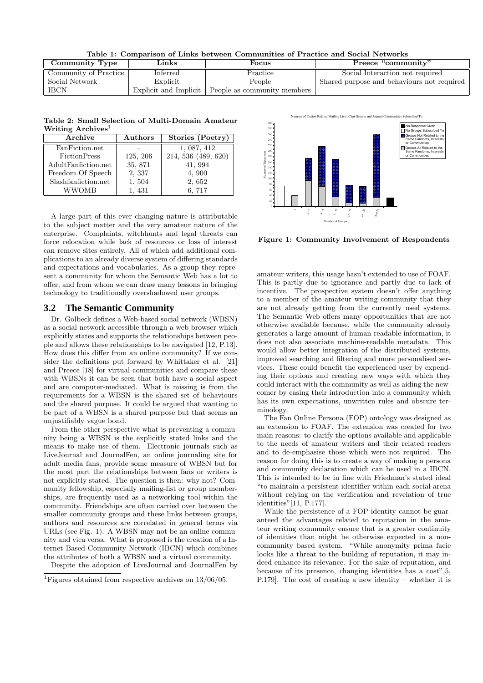Table 1: Comparison of Links between Communities of Practice and Social Networks

| Community Type        | Links    | Focus                                               | Preece "community"                         |
|-----------------------|----------|-----------------------------------------------------|--------------------------------------------|
| Community of Practice | Inferred | Practice                                            | Social Interaction not required            |
| Social Network        | Explicit | People                                              | Shared purpose and behaviours not required |
| <b>IBCN</b>           |          | Explicit and Implicit   People as community members |                                            |

Table 2: Small Selection of Multi-Domain Amateur Writing  $Archives<sup>1</sup>$ 

| Archive             | Authors  | Stories (Poetry)    |  |
|---------------------|----------|---------------------|--|
| FanFiction.net      |          | 1, 087, 412         |  |
| FictionPress        | 125, 206 | 214, 536 (489, 620) |  |
| AdultFanfiction.net | 35, 871  | 41, 994             |  |
| Freedom Of Speech   | 2, 337   | 4,900               |  |
| Slashfanfiction.net | 1, 504   | 2,652               |  |
| WWOMB               | 1, 431   | 6.717               |  |

A large part of this ever changing nature is attributable to the subject matter and the very amateur nature of the enterprise. Complaints, witchhunts and legal threats can force relocation while lack of resources or loss of interest can remove sites entirely. All of which add additional complications to an already diverse system of differing standards and expectations and vocabularies. As a group they represent a community for whom the Semantic Web has a lot to offer, and from whom we can draw many lessons in bringing technology to traditionally overshadowed user groups.

## **3.2 The Semantic Community**

Dr. Golbeck defines a Web-based social network (WBSN) as a social network accessible through a web browser which explicitly states and supports the relationships between people and allows these relationships to be navigated [12, P.13]. How does this differ from an online community? If we consider the definitions put forward by Whittaker et al. [21] and Preece [18] for virtual communities and compare these with WBSNs it can be seen that both have a social aspect and are computer-mediated. What is missing is from the requirements for a WBSN is the shared set of behaviours and the shared purpose. It could be argued that wanting to be part of a WBSN is a shared purpose but that seems an unjustifiably vague bond.

From the other perspective what is preventing a community being a WBSN is the explicitly stated links and the means to make use of them. Electronic journals such as LiveJournal and JournalFen, an online journaling site for adult media fans, provide some measure of WBSN but for the most part the relationships between fans or writers is not explicitly stated. The question is then: why not? Community fellowship, especially mailing-list or group memberships, are frequently used as a networking tool within the community. Friendships are often carried over between the smaller community groups and these links between groups, authors and resources are correlated in general terms via URLs (see Fig. 1). A WBSN may not be an online community and vica versa. What is proposed is the creation of a Internet Based Community Network (IBCN) which combines the attributes of both a WBSN and a virtual community.

Despite the adoption of LiveJournal and JournalFen by



Figure 1: Community Involvement of Respondents

amateur writers, this usage hasn't extended to use of FOAF. This is partly due to ignorance and partly due to lack of incentive. The prospective system doesn't offer anything to a member of the amateur writing community that they are not already getting from the currently used systems. The Semantic Web offers many opportunities that are not otherwise available because, while the community already generates a large amount of human-readable information, it does not also associate machine-readable metadata. This would allow better integration of the distributed systems, improved searching and filtering and more personalised services. These could benefit the experienced user by expending their options and creating new ways with which they could interact with the community as well as aiding the newcomer by easing their introduction into a community which has its own expectations, unwritten rules and obscure terminology.

The Fan Online Persona (FOP) ontology was designed as an extension to FOAF. The extension was created for two main reasons: to clarify the options available and applicable to the needs of amateur writers and their related readers and to de-emphasise those which were not required. The reason for doing this is to create a way of making a persona and community declaration which can be used in a IBCN. This is intended to be in line with Friedman's stated ideal "to maintain a persistent identifier within each social arena without relying on the verification and revelation of true identities"[11, P.177].

While the persistence of a FOP identity cannot be guaranteed the advantages related to reputation in the amateur writing community ensure that is a greater continuity of identities than might be otherwise expected in a noncommunity based system. "While anonymity prima facie looks like a threat to the building of reputation, it may indeed enhance its relevance. For the sake of reputation, and because of its presence, changing identities has a cost"[5, P.179]. The cost of creating a new identity – whether it is

<sup>&</sup>lt;sup>1</sup>Figures obtained from respective archives on  $13/06/05$ .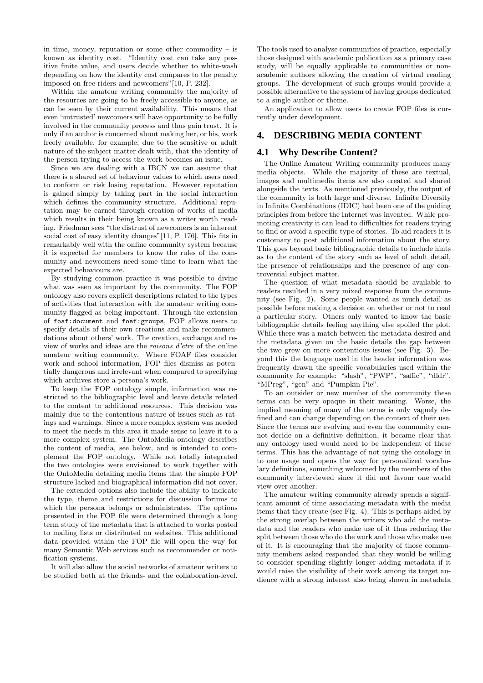in time, money, reputation or some other commodity – is known as identity cost. "Identity cost can take any positive finite value, and users decide whether to white-wash depending on how the identity cost compares to the penalty imposed on free-riders and newcomers"[10, P. 232].

Within the amateur writing community the majority of the resources are going to be freely accessible to anyone, as can be seen by their current availability. This means that even 'untrusted' newcomers will have opportunity to be fully involved in the community process and thus gain trust. It is only if an author is concerned about making her, or his, work freely available, for example, due to the sensitive or adult nature of the subject matter dealt with, that the identity of the person trying to access the work becomes an issue.

Since we are dealing with a IBCN we can assume that there is a shared set of behaviour values to which users need to conform or risk losing reputation. However reputation is gained simply by taking part in the social interaction which defines the community structure. Additional reputation may be earned through creation of works of media which results in their being known as a writer worth reading. Friedman sees "the distrust of newcomers is an inherent social cost of easy identity changes"[11, P. 176]. This fits in remarkably well with the online community system because it is expected for members to know the rules of the community and newcomers need some time to learn what the expected behaviours are.

By studying common practice it was possible to divine what was seen as important by the community. The FOP ontology also covers explicit descriptions related to the types of activities that interaction with the amateur writing community flagged as being important. Through the extension of foaf:document and foaf:groups, FOP allows users to specify details of their own creations and make recommendations about others' work. The creation, exchange and review of works and ideas are the raisons d'etre of the online amateur writing community. Where FOAF files consider work and school information, FOP files dismiss as potentially dangerous and irrelevant when compared to specifying which archives store a persona's work.

To keep the FOP ontology simple, information was restricted to the bibliographic level and leave details related to the content to additional resources. This decision was mainly due to the contentious nature of issues such as ratings and warnings. Since a more complex system was needed to meet the needs in this area it made sense to leave it to a more complex system. The OntoMedia ontology describes the content of media, see below, and is intended to complement the FOP ontology. While not totally integrated the two ontologies were envisioned to work together with the OntoMedia detailing media items that the simple FOP structure lacked and biographical information did not cover.

The extended options also include the ability to indicate the type, theme and restrictions for discussion forums to which the persona belongs or administrates. The options presented in the FOP file were determined through a long term study of the metadata that is attached to works posted to mailing lists or distributed on websites. This additional data provided within the FOP file will open the way for many Semantic Web services such as recommender or notification systems.

It will also allow the social networks of amateur writers to be studied both at the friends- and the collaboration-level.

The tools used to analyse communities of practice, especially those designed with academic publication as a primary case study, will be equally applicable to communities or nonacademic authors allowing the creation of virtual reading groups. The development of such groups would provide a possible alternative to the system of having groups dedicated to a single author or theme.

An application to allow users to create FOP files is currently under development.

# **4. DESCRIBING MEDIA CONTENT**

## **4.1 Why Describe Content?**

The Online Amateur Writing community produces many media objects. While the majority of these are textual, images and multimedia items are also created and shared alongside the texts. As mentioned previously, the output of the community is both large and diverse. Infinite Diversity in Infinite Combinations (IDIC) had been one of the guiding principles from before the Internet was invented. While promoting creativity it can lead to difficulties for readers trying to find or avoid a specific type of stories. To aid readers it is customary to post additional information about the story. This goes beyond basic bibliographic details to include hints as to the content of the story such as level of adult detail, the presence of relationships and the presence of any controversial subject matter.

The question of what metadata should be available to readers resulted in a very mixed response from the community (see Fig. 2). Some people wanted as much detail as possible before making a decision on whether or not to read a particular story. Others only wanted to know the basic bibliographic details feeling anything else spoiled the plot. While there was a match between the metadata desired and the metadata given on the basic details the gap between the two grew on more contentious issues (see Fig. 3). Beyond this the language used in the header information was frequently drawn the specific vocabularies used within the community for example: "slash", "PWP", "saffic", "dldr", "MPreg", "gen" and "Pumpkin Pie".

To an outsider or new member of the community these terms can be very opaque in their meaning. Worse, the implied meaning of many of the terms is only vaguely defined and can change depending on the context of their use. Since the terms are evolving and even the community cannot decide on a definitive definition, it became clear that any ontology used would need to be independent of these terms. This has the advantage of not tying the ontology in to one usage and opens the way for personalized vocabulary definitions, something welcomed by the members of the community interviewed since it did not favour one world view over another.

The amateur writing community already spends a significant amount of time associating metadata with the media items that they create (see Fig. 4). This is perhaps aided by the strong overlap between the writers who add the metadata and the readers who make use of it thus reducing the split between those who do the work and those who make use of it. It is encouraging that the majority of those community members asked responded that they would be willing to consider spending slightly longer adding metadata if it would raise the visibility of their work among its target audience with a strong interest also being shown in metadata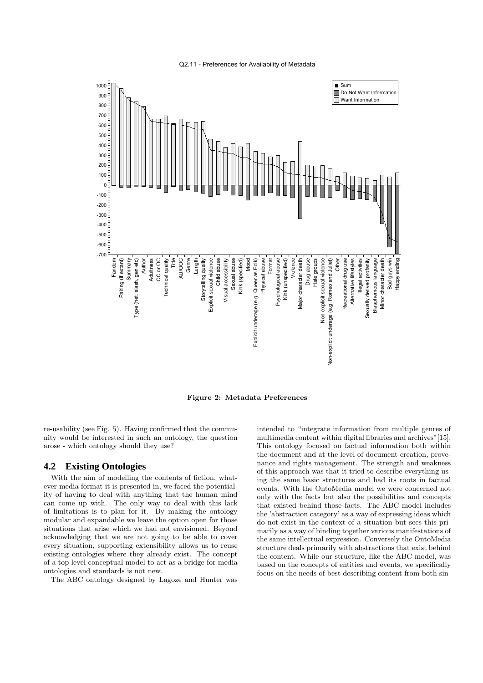



Figure 2: Metadata Preferences

re-usability (see Fig. 5). Having confirmed that the community would be interested in such an ontology, the question arose - which ontology should they use?

#### **4.2 Existing Ontologies**

With the aim of modelling the contents of fiction, whatever media format it is presented in, we faced the potentiality of having to deal with anything that the human mind can come up with. The only way to deal with this lack of limitations is to plan for it. By making the ontology modular and expandable we leave the option open for those situations that arise which we had not envisioned. Beyond acknowledging that we are not going to be able to cover every situation, supporting extensibility allows us to reuse existing ontologies where they already exist. The concept of a top level conceptual model to act as a bridge for media ontologies and standards is not new.

The ABC ontology designed by Lagoze and Hunter was

intended to "integrate information from multiple genres of multimedia content within digital libraries and archives"[15]. This ontology focused on factual information both within the document and at the level of document creation, provenance and rights management. The strength and weakness of this approach was that it tried to describe everything using the same basic structures and had its roots in factual events. With the OntoMedia model we were concerned not only with the facts but also the possibilities and concepts that existed behind those facts. The ABC model includes the 'abstraction category' as a way of expressing ideas which do not exist in the context of a situation but sees this primarily as a way of binding together various manifestations of the same intellectual expression. Conversely the OntoMedia structure deals primarily with abstractions that exist behind the content. While our structure, like the ABC model, was based on the concepts of entities and events, we specifically focus on the needs of best describing content from both sin-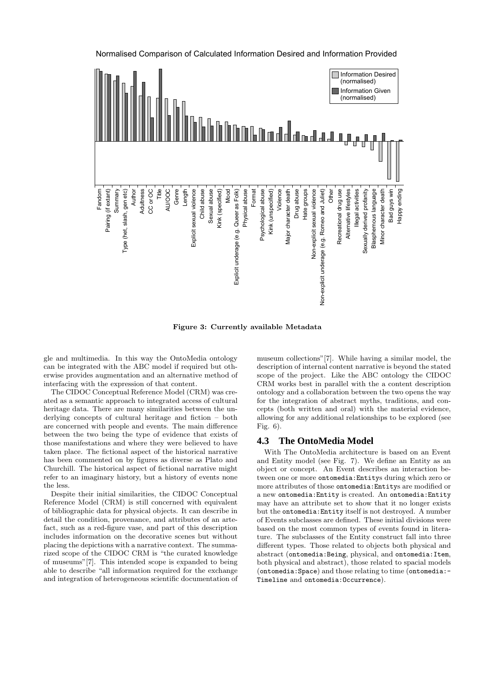



Figure 3: Currently available Metadata

gle and multimedia. In this way the OntoMedia ontology can be integrated with the ABC model if required but otherwise provides augmentation and an alternative method of interfacing with the expression of that content.

The CIDOC Conceptual Reference Model (CRM) was created as a semantic approach to integrated access of cultural heritage data. There are many similarities between the underlying concepts of cultural heritage and fiction – both are concerned with people and events. The main difference between the two being the type of evidence that exists of those manifestations and where they were believed to have taken place. The fictional aspect of the historical narrative has been commented on by figures as diverse as Plato and Churchill. The historical aspect of fictional narrative might refer to an imaginary history, but a history of events none the less.

Despite their initial similarities, the CIDOC Conceptual Reference Model (CRM) is still concerned with equivalent of bibliographic data for physical objects. It can describe in detail the condition, provenance, and attributes of an artefact, such as a red-figure vase, and part of this description includes information on the decorative scenes but without placing the depictions with a narrative context. The summarized scope of the CIDOC CRM is "the curated knowledge of museums"[7]. This intended scope is expanded to being able to describe "all information required for the exchange and integration of heterogeneous scientific documentation of museum collections"[7]. While having a similar model, the description of internal content narrative is beyond the stated scope of the project. Like the ABC ontology the CIDOC CRM works best in parallel with the a content description ontology and a collaboration between the two opens the way for the integration of abstract myths, traditions, and concepts (both written and oral) with the material evidence, allowing for any additional relationships to be explored (see Fig. 6).

#### **4.3 The OntoMedia Model**

With The OntoMedia architecture is based on an Event and Entity model (see Fig. 7). We define an Entity as an object or concept. An Event describes an interaction between one or more ontomedia:Entitys during which zero or more attributes of those ontomedia:Entitys are modified or a new ontomedia:Entity is created. An ontomedia:Entity may have an attribute set to show that it no longer exists but the ontomedia:Entity itself is not destroyed. A number of Events subclasses are defined. These initial divisions were based on the most common types of events found in literature. The subclasses of the Entity construct fall into three different types. Those related to objects both physical and abstract (ontomedia:Being, physical, and ontomedia:Item, both physical and abstract), those related to spacial models (ontomedia:Space) and those relating to time (ontomedia:- Timeline and ontomedia:Occurrence).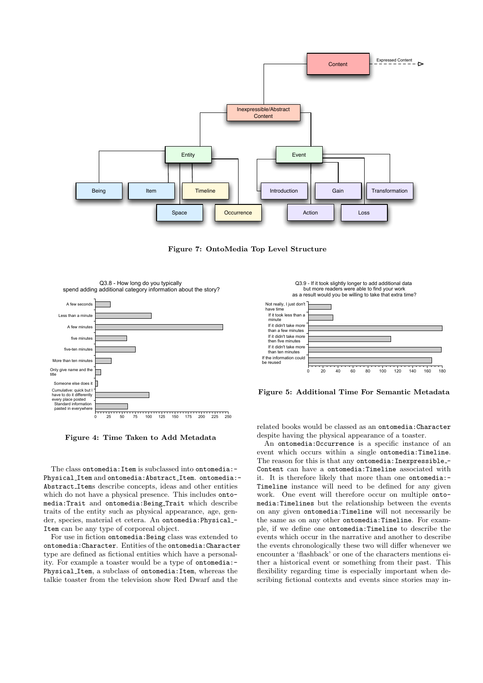





Figure 4: Time Taken to Add Metadata

The class ontomedia: Item is subclassed into ontomedia:-Physical Item and ontomedia: Abstract Item. ontomedia:-Abstract Items describe concepts, ideas and other entities which do not have a physical presence. This includes ontomedia:Trait and ontomedia:Being Trait which describe traits of the entity such as physical appearance, age, gender, species, material et cetera. An ontomedia: Physical\_-Item can be any type of corporeal object.

For use in fiction ontomedia:Being class was extended to ontomedia:Character. Entities of the ontomedia:Character type are defined as fictional entities which have a personality. For example a toaster would be a type of ontomedia:- Physical Item, a subclass of ontomedia:Item, whereas the talkie toaster from the television show Red Dwarf and the



Figure 5: Additional Time For Semantic Metadata

related books would be classed as an ontomedia:Character despite having the physical appearance of a toaster.

An ontomedia:Occurrence is a specific instance of an event which occurs within a single ontomedia:Timeline. The reason for this is that any ontomedia: Inexpressible\_-Content can have a ontomedia:Timeline associated with it. It is therefore likely that more than one ontomedia:- Timeline instance will need to be defined for any given work. One event will therefore occur on multiple ontomedia:Timelines but the relationship between the events on any given ontomedia:Timeline will not necessarily be the same as on any other ontomedia:Timeline. For example, if we define one ontomedia:Timeline to describe the events which occur in the narrative and another to describe the events chronologically these two will differ whenever we encounter a 'flashback' or one of the characters mentions either a historical event or something from their past. This flexibility regarding time is especially important when describing fictional contexts and events since stories may in-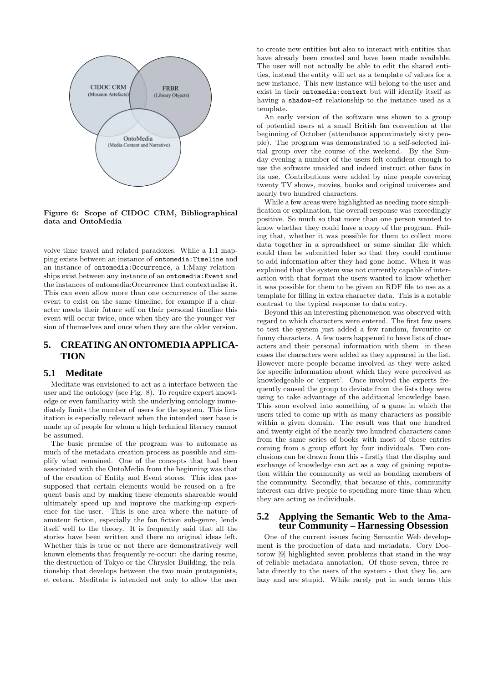

#### Figure 6: Scope of CIDOC CRM, Bibliographical data and OntoMedia

volve time travel and related paradoxes. While a 1:1 mapping exists between an instance of ontomedia:Timeline and an instance of ontomedia:Occurrence, a 1:Many relationships exist between any instance of an ontomedia:Event and the instances of ontomedia:Occurrence that contextualise it. This can even allow more than one occurrence of the same event to exist on the same timeline, for example if a character meets their future self on their personal timeline this event will occur twice, once when they are the younger version of themselves and once when they are the older version.

## **5. CREATING AN ONTOMEDIA APPLICA-TION**

#### **5.1 Meditate**

Meditate was envisioned to act as a interface between the user and the ontology (see Fig. 8). To require expert knowledge or even familiarity with the underlying ontology immediately limits the number of users for the system. This limitation is especially relevant when the intended user base is made up of people for whom a high technical literacy cannot be assumed.

The basic premise of the program was to automate as much of the metadata creation process as possible and simplify what remained. One of the concepts that had been associated with the OntoMedia from the beginning was that of the creation of Entity and Event stores. This idea presupposed that certain elements would be reused on a frequent basis and by making these elements shareable would ultimately speed up and improve the marking-up experience for the user. This is one area where the nature of amateur fiction, especially the fan fiction sub-genre, lends itself well to the theory. It is frequently said that all the stories have been written and there no original ideas left. Whether this is true or not there are demonstratively well known elements that frequently re-occur: the daring rescue, the destruction of Tokyo or the Chrysler Building, the relationship that develops between the two main protagonists, et cetera. Meditate is intended not only to allow the user

to create new entities but also to interact with entities that have already been created and have been made available. The user will not actually be able to edit the shared entities, instead the entity will act as a template of values for a new instance. This new instance will belong to the user and exist in their ontomedia:context but will identify itself as having a shadow-of relationship to the instance used as a template.

An early version of the software was shown to a group of potential users at a small British fan convention at the beginning of October (attendance approximately sixty people). The program was demonstrated to a self-selected initial group over the course of the weekend. By the Sunday evening a number of the users felt confident enough to use the software unaided and indeed instruct other fans in its use. Contributions were added by nine people covering twenty TV shows, movies, books and original universes and nearly two hundred characters.

While a few areas were highlighted as needing more simplification or explanation, the overall response was exceedingly positive. So much so that more than one person wanted to know whether they could have a copy of the program. Failing that, whether it was possible for them to collect more data together in a spreadsheet or some similar file which could then be submitted later so that they could continue to add information after they had gone home. When it was explained that the system was not currently capable of interaction with that format the users wanted to know whether it was possible for them to be given an RDF file to use as a template for filling in extra character data. This is a notable contrast to the typical response to data entry.

Beyond this an interesting phenomenon was observed with regard to which characters were entered. The first few users to test the system just added a few random, favourite or funny characters. A few users happened to have lists of characters and their personal information with them in these cases the characters were added as they appeared in the list. However more people became involved as they were asked for specific information about which they were perceived as knowledgeable or 'expert'. Once involved the experts frequently caused the group to deviate from the lists they were using to take advantage of the additional knowledge base. This soon evolved into something of a game in which the users tried to come up with as many characters as possible within a given domain. The result was that one hundred and twenty eight of the nearly two hundred characters came from the same series of books with most of those entries coming from a group effort by four individuals. Two conclusions can be drawn from this - firstly that the display and exchange of knowledge can act as a way of gaining reputation within the community as well as bonding members of the community. Secondly, that because of this, community interest can drive people to spending more time than when they are acting as individuals.

## **5.2 Applying the Semantic Web to the Amateur Community – Harnessing Obsession**

One of the current issues facing Semantic Web development is the production of data and metadata. Cory Doctorow [9] highlighted seven problems that stand in the way of reliable metadata annotation. Of those seven, three relate directly to the users of the system - that they lie, are lazy and are stupid. While rarely put in such terms this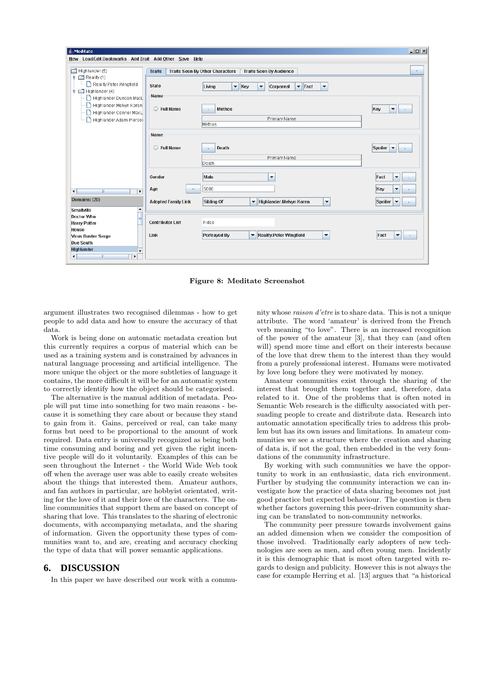| <b><i><u></u></i> Meditate</b><br>New Load/Edit Bookmarks Add Trait Add Other Save Help                                             |                                                                                                     |                                                                                                                                   | $-10x$                          |  |  |
|-------------------------------------------------------------------------------------------------------------------------------------|-----------------------------------------------------------------------------------------------------|-----------------------------------------------------------------------------------------------------------------------------------|---------------------------------|--|--|
| Highlander (5)<br>$\leftarrow \Box$ Reality (1)<br>Reality.Peter Wingfield<br>$\leftarrow$ Highlander (4)<br>Highlander.Duncan MacL | <b>Traits</b><br><b>Traits Seen By Other Characters</b><br><b>Traits Seen By Audience</b><br>$\sim$ |                                                                                                                                   |                                 |  |  |
|                                                                                                                                     | <b>State</b><br>Name                                                                                | Living<br>$\blacktriangledown$ Key<br>$\blacktriangleright$ Fact<br>$\blacktriangledown$<br>Corporeal<br>$\overline{\phantom{a}}$ |                                 |  |  |
| Highlander.Melvyn Koren                                                                                                             | ◯ Full Name                                                                                         | <b>Methos</b>                                                                                                                     | Key<br>▼                        |  |  |
| Highlander.Conner MacL<br>Highlander.Adam Piersol                                                                                   |                                                                                                     | Primary Name<br>Methos                                                                                                            |                                 |  |  |
|                                                                                                                                     | Name<br>○ Full Name                                                                                 | Death<br>Primary Name<br>Death                                                                                                    | Spoiler<br>$\blacktriangledown$ |  |  |
|                                                                                                                                     | Gender                                                                                              | Male<br>$\overline{\mathbf{v}}$                                                                                                   | Fact<br>$\blacktriangledown$    |  |  |
| $\blacksquare$<br>$\mathbb{I}$<br>$\mathbf{F}$                                                                                      | Age<br>$\sim$                                                                                       | 5000                                                                                                                              | Key<br>$\overline{\phantom{a}}$ |  |  |
| Domains: (20)<br>$\blacktriangle$                                                                                                   | <b>Adopted Family Link</b>                                                                          | Sibling Of<br>Highlander.Melvyn Koren<br>$\blacktriangledown$                                                                     | Spoiler<br>$\blacktriangledown$ |  |  |
| Smallville<br>Doctor Who<br><b>Harry Potter</b><br>House                                                                            | <b>Contributor List</b>                                                                             | Fides                                                                                                                             |                                 |  |  |
| Virus Buster Serge<br>Due South                                                                                                     | Link                                                                                                | Reality.Peter Wingfield<br>Portrayed By<br>$\overline{\phantom{0}}$                                                               | Fact<br>$\overline{\mathbf{v}}$ |  |  |
| Highlander<br>$\overline{\phantom{a}}$<br>$\mathbf b$<br>$\blacksquare$<br>$\blacksquare$                                           |                                                                                                     |                                                                                                                                   |                                 |  |  |

Figure 8: Meditate Screenshot

argument illustrates two recognised dilemmas - how to get people to add data and how to ensure the accuracy of that data.

Work is being done on automatic metadata creation but this currently requires a corpus of material which can be used as a training system and is constrained by advances in natural language processing and artificial intelligence. The more unique the object or the more subtleties of language it contains, the more difficult it will be for an automatic system to correctly identify how the object should be categorised.

The alternative is the manual addition of metadata. People will put time into something for two main reasons - because it is something they care about or because they stand to gain from it. Gains, perceived or real, can take many forms but need to be proportional to the amount of work required. Data entry is universally recognized as being both time consuming and boring and yet given the right incentive people will do it voluntarily. Examples of this can be seen throughout the Internet - the World Wide Web took off when the average user was able to easily create websites about the things that interested them. Amateur authors, and fan authors in particular, are hobbyist orientated, writing for the love of it and their love of the characters. The online communities that support them are based on concept of sharing that love. This translates to the sharing of electronic documents, with accompanying metadata, and the sharing of information. Given the opportunity these types of communities want to, and are, creating and accuracy checking the type of data that will power semantic applications.

#### **6. DISCUSSION**

In this paper we have described our work with a commu-

nity whose raison d'etre is to share data. This is not a unique attribute. The word 'amateur' is derived from the French verb meaning "to love". There is an increased recognition of the power of the amateur [3], that they can (and often will) spend more time and effort on their interests because of the love that drew them to the interest than they would from a purely professional interest. Humans were motivated by love long before they were motivated by money.

Amateur communities exist through the sharing of the interest that brought them together and, therefore, data related to it. One of the problems that is often noted in Semantic Web research is the difficulty associated with persuading people to create and distribute data. Research into automatic annotation specifically tries to address this problem but has its own issues and limitations. In amateur communities we see a structure where the creation and sharing of data is, if not the goal, then embedded in the very foundations of the community infrastructure.

By working with such communities we have the opportunity to work in an enthusiastic, data rich environment. Further by studying the community interaction we can investigate how the practice of data sharing becomes not just good practice but expected behaviour. The question is then whether factors governing this peer-driven community sharing can be translated to non-community networks.

The community peer pressure towards involvement gains an added dimension when we consider the composition of those involved. Traditionally early adopters of new technologies are seen as men, and often young men. Incidently it is this demographic that is most often targeted with regards to design and publicity. However this is not always the case for example Herring et al. [13] argues that "a historical